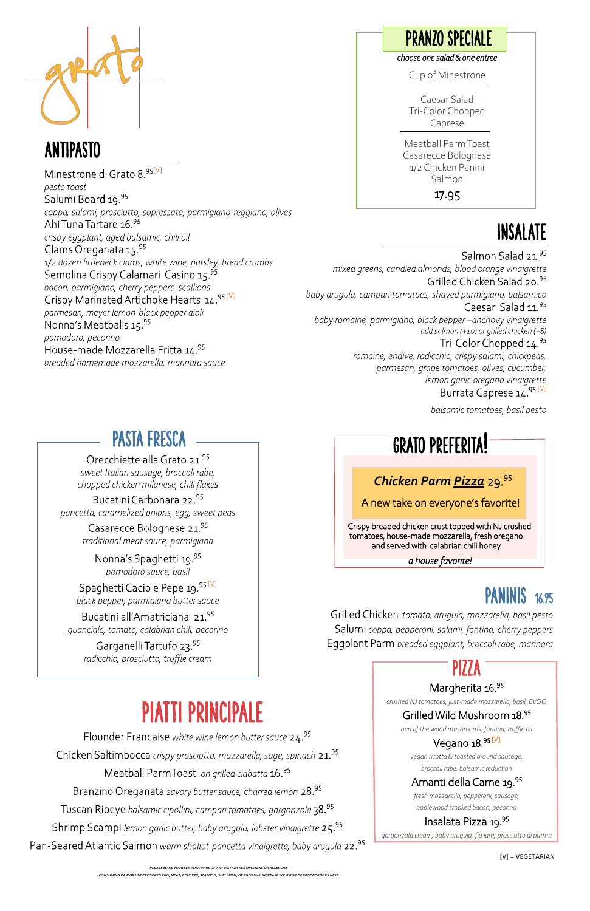### PASTA FRESCA

#### Orecchiette alla Grato 21.95

sweet Italian sausage, broccoli rabe, chopped chicken milanese, chili flakes

Bucatini Carbonara 22.95 pancetta, caramelized onions, egg, sweet peas

> Casarecce Bolognese 21.95 traditional meat sauce, parmigiana

Nonna's Spaghetti 19.95 pomodoro sauce, basil

Spaghetti Cacio e Pepe 19.95 [V] black pepper, parmigiana butter sauce

Bucatini all'Amatriciana 21.95 guanciale, tomato, calabrian chili, pecorino

Garganelli Tartufo 23.<sup>95</sup> radicchio, prosciutto, truffle cream

# balsamic tomatoes, basil pesto<br> **GRATO PREFERITA!**

### INSALATE

Salmon Salad 21.95 mixed greens, candied almonds, blood orange vinaigrette Grilled Chicken Salad 20.95 baby arugula, campari tomatoes, shaved parmigiano, balsamico Caesar Salad 11.95 baby romaine, parmigiano, black pepper-anchovy vinaigrette add salmon (+10) or grilled chicken (+8) Tri-Color Chopped 14.95 romaine, endive, radicchio, crispy salami, chickpeas, parmesan, grape tomatoes, olives, cucumber, lemon garlic oregano vinaigrette

#### Burrata Caprese 14.95 [V]



### ANTIPASTO

Minestrone di Grato 8.95[V] pesto toast Salumi Board 19.95 coppa, salami, prosciutto, sopressata, parmigiano-reggiano, olives Ahi Tuna Tartare 16.95 crispy eggplant, aged balsamic, chili oil Clams Oreganata 15.95 1/2 dozen littleneck clams, white wine, parsley, bread crumbs Semolina Crispy Calamari Casino 15.95 bacon, parmigiano, cherry peppers, scallions Crispy Marinated Artichoke Hearts 14.95 [V] parmesan, meyer lemon-black pepper aioli Nonna's Meatballs 15.95 pomodoro, pecorino House-made Mozzarella Fritta 14.95 breaded homemade mozzarella, marinara sauce

#### *choose one salad & one entree*

Cup of Minestrone

Caesar Salad Tri-Color Chopped Caprese

ı

Meatball Parm Toast Casarecce Bolognese 1/2 Chicken Panini Salmon

17.95

### PRANZO SPECIALE

### *Chicken Parm Pizza* 29.<sup>95</sup>

A new take on everyone's favorite!

 Crispy breaded chicken crust topped with NJ crushed tomatoes, house-made mozzarella, fresh oregano and served with calabrian chili honey

 *a house favorite!* 

## **PANINIS** 16.95

Grilled Chicken tomato, arugula, mozzarella, basil pesto Salumi coppa, pepperoni, salami, fontina, cherry peppers Eggplant Parm breaded eggplant, broccoli rabe, marinara<br>
PIZZA

## PIATTI PRINCIPALE

Flounder Francaise white wine lemon butter sauce 24.95 Chicken Saltimbocca crispy prosciutto, mozzarella, sage, spinach 21.95 Meatball ParmToast on grilled ciabatta 16.95 Branzino Oreganata savory butter sauce, charred lemon 28.95 Tuscan Ribeye balsamic cipollini, campari tomatoes, gorgonzola 38.95 Shrimp Scampi lemon garlic butter, baby arugula, lobster vinaigrette 25.95 Pan-Seared Atlantic Salmon warm shallot-pancetta vinaigrette, baby arugula 22.95

#### Margherita 16.95

*crushed NJ tomatoes, just-made mozzarella, basil, EVOO*

#### Grilled Wild Mushroom 18.<sup>95</sup>

*hen of the wood mushrooms, fontina, truffle oil*

#### Vegano 18.95 [V]

*vegan ricotta & toasted ground sausage, broccoli rabe, balsamic reduction*

#### Amanti della Carne 19.<sup>95</sup>

*fresh mozzarella, pepperoni, sausage, applewood smoked bacon, pecorino*

#### Insalata Pizza 19.<sup>95</sup>

*gorgonzola cream, baby arugula, fig jam, prosciutto di parma*

[V] = VEGETARIAN

*PLEASE MAKE YOUR SERVER AWARE OF ANY DIETARY RESTRICTIONS OR ALLERGIES*

*CONSUMING RAW OR UNDERCOOKED EGG, MEAT, POULTRY, SEAFOOD, SHELLFISH, OR EGGS MAY INCREASE YOUR RISK OF FOODBORNE ILLNESS*